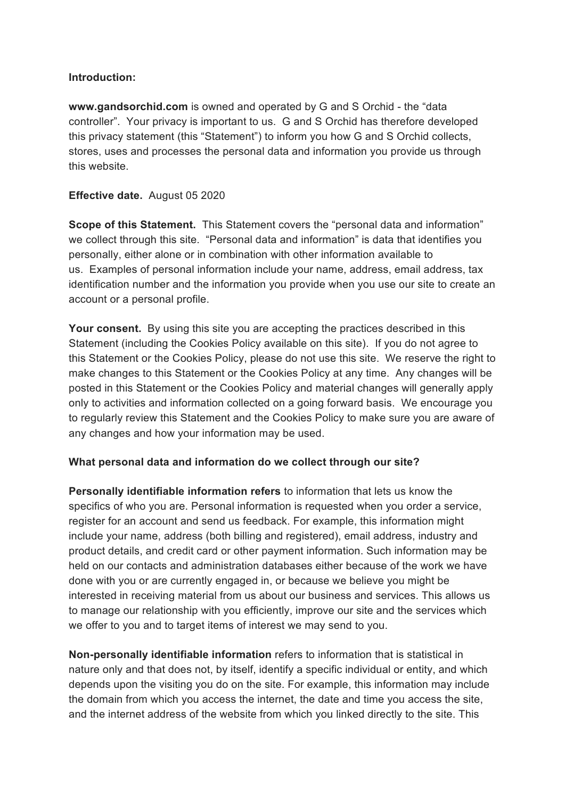### **Introduction:**

**www.gandsorchid.com** is owned and operated by G and S Orchid - the "data controller". Your privacy is important to us. G and S Orchid has therefore developed this privacy statement (this "Statement") to inform you how G and S Orchid collects, stores, uses and processes the personal data and information you provide us through this website.

### **Effective date.** August 05 2020

**Scope of this Statement.** This Statement covers the "personal data and information" we collect through this site. "Personal data and information" is data that identifies you personally, either alone or in combination with other information available to us. Examples of personal information include your name, address, email address, tax identification number and the information you provide when you use our site to create an account or a personal profile.

**Your consent.** By using this site you are accepting the practices described in this Statement (including the Cookies Policy available on this site). If you do not agree to this Statement or the Cookies Policy, please do not use this site. We reserve the right to make changes to this Statement or the Cookies Policy at any time. Any changes will be posted in this Statement or the Cookies Policy and material changes will generally apply only to activities and information collected on a going forward basis. We encourage you to regularly review this Statement and the Cookies Policy to make sure you are aware of any changes and how your information may be used.

#### **What personal data and information do we collect through our site?**

**Personally identifiable information refers** to information that lets us know the specifics of who you are. Personal information is requested when you order a service, register for an account and send us feedback. For example, this information might include your name, address (both billing and registered), email address, industry and product details, and credit card or other payment information. Such information may be held on our contacts and administration databases either because of the work we have done with you or are currently engaged in, or because we believe you might be interested in receiving material from us about our business and services. This allows us to manage our relationship with you efficiently, improve our site and the services which we offer to you and to target items of interest we may send to you.

**Non-personally identifiable information** refers to information that is statistical in nature only and that does not, by itself, identify a specific individual or entity, and which depends upon the visiting you do on the site. For example, this information may include the domain from which you access the internet, the date and time you access the site, and the internet address of the website from which you linked directly to the site. This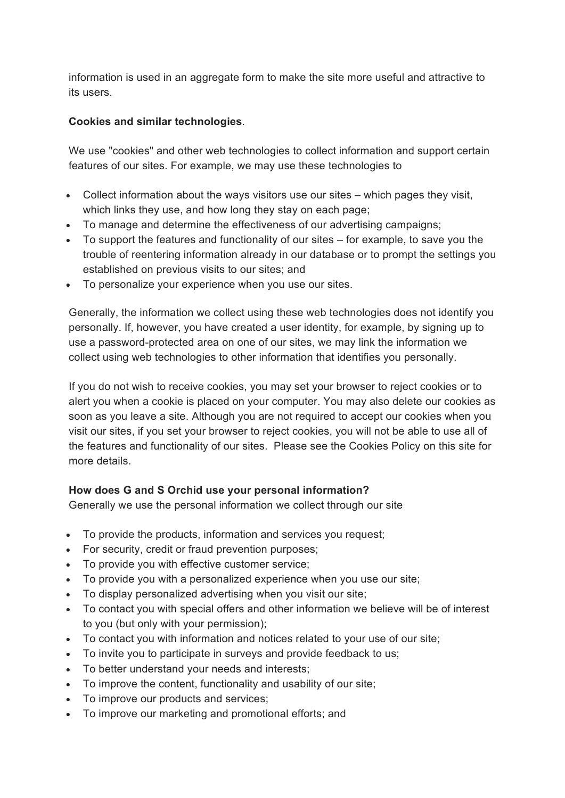information is used in an aggregate form to make the site more useful and attractive to its users.

## **Cookies and similar technologies***.*

We use "cookies" and other web technologies to collect information and support certain features of our sites. For example, we may use these technologies to

- Collect information about the ways visitors use our sites which pages they visit. which links they use, and how long they stay on each page;
- To manage and determine the effectiveness of our advertising campaigns;
- To support the features and functionality of our sites for example, to save you the trouble of reentering information already in our database or to prompt the settings you established on previous visits to our sites; and
- To personalize your experience when you use our sites.

Generally, the information we collect using these web technologies does not identify you personally. If, however, you have created a user identity, for example, by signing up to use a password-protected area on one of our sites, we may link the information we collect using web technologies to other information that identifies you personally.

If you do not wish to receive cookies, you may set your browser to reject cookies or to alert you when a cookie is placed on your computer. You may also delete our cookies as soon as you leave a site. Although you are not required to accept our cookies when you visit our sites, if you set your browser to reject cookies, you will not be able to use all of the features and functionality of our sites. Please see the Cookies Policy on this site for more details.

# **How does G and S Orchid use your personal information?**

Generally we use the personal information we collect through our site

- To provide the products, information and services you request;
- For security, credit or fraud prevention purposes;
- To provide you with effective customer service;
- To provide you with a personalized experience when you use our site;
- To display personalized advertising when you visit our site;
- To contact you with special offers and other information we believe will be of interest to you (but only with your permission);
- To contact you with information and notices related to your use of our site;
- To invite you to participate in surveys and provide feedback to us;
- To better understand your needs and interests;
- To improve the content, functionality and usability of our site;
- To improve our products and services;
- To improve our marketing and promotional efforts; and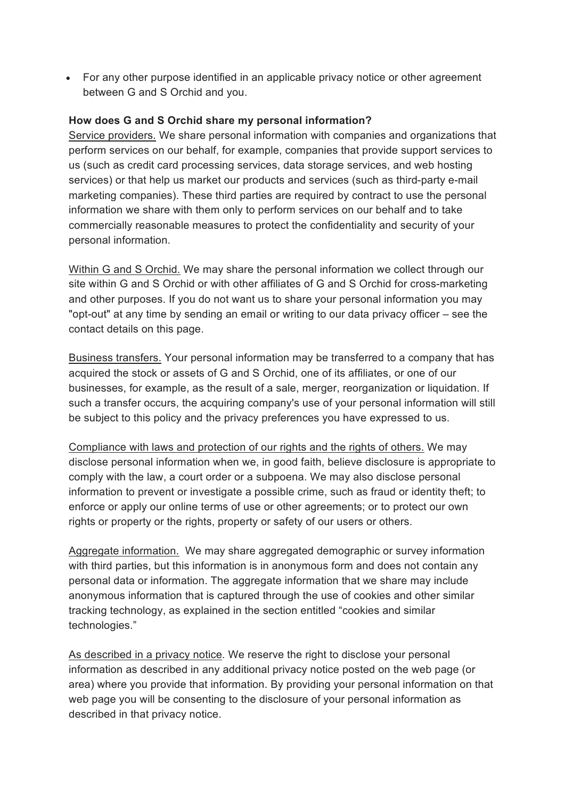• For any other purpose identified in an applicable privacy notice or other agreement between G and S Orchid and you.

## **How does G and S Orchid share my personal information?**

Service providers. We share personal information with companies and organizations that perform services on our behalf, for example, companies that provide support services to us (such as credit card processing services, data storage services, and web hosting services) or that help us market our products and services (such as third-party e-mail marketing companies). These third parties are required by contract to use the personal information we share with them only to perform services on our behalf and to take commercially reasonable measures to protect the confidentiality and security of your personal information.

Within G and S Orchid. We may share the personal information we collect through our site within G and S Orchid or with other affiliates of G and S Orchid for cross-marketing and other purposes. If you do not want us to share your personal information you may "opt-out" at any time by sending an email or writing to our data privacy officer – see the contact details on this page.

Business transfers. Your personal information may be transferred to a company that has acquired the stock or assets of G and S Orchid, one of its affiliates, or one of our businesses, for example, as the result of a sale, merger, reorganization or liquidation. If such a transfer occurs, the acquiring company's use of your personal information will still be subject to this policy and the privacy preferences you have expressed to us.

Compliance with laws and protection of our rights and the rights of others. We may disclose personal information when we, in good faith, believe disclosure is appropriate to comply with the law, a court order or a subpoena. We may also disclose personal information to prevent or investigate a possible crime, such as fraud or identity theft; to enforce or apply our online terms of use or other agreements; or to protect our own rights or property or the rights, property or safety of our users or others.

Aggregate information. We may share aggregated demographic or survey information with third parties, but this information is in anonymous form and does not contain any personal data or information. The aggregate information that we share may include anonymous information that is captured through the use of cookies and other similar tracking technology, as explained in the section entitled "cookies and similar technologies."

As described in a privacy notice*.* We reserve the right to disclose your personal information as described in any additional privacy notice posted on the web page (or area) where you provide that information. By providing your personal information on that web page you will be consenting to the disclosure of your personal information as described in that privacy notice.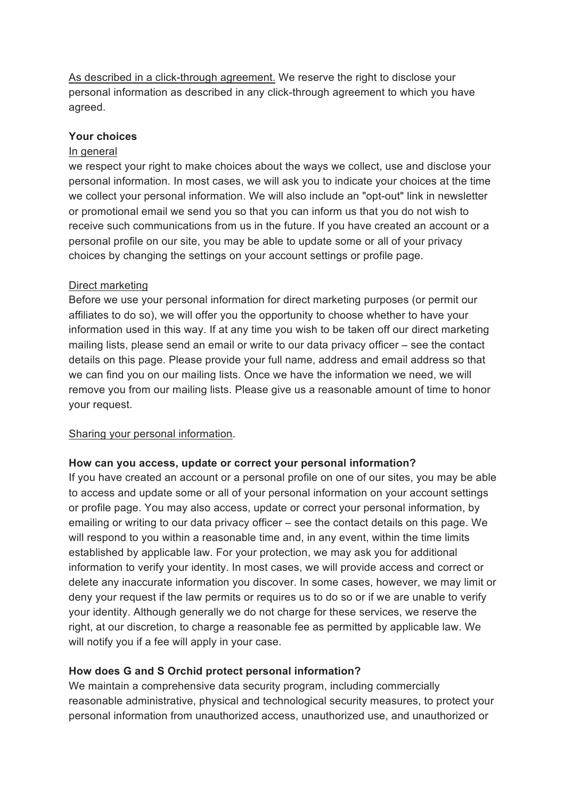As described in a click-through agreement. We reserve the right to disclose your personal information as described in any click-through agreement to which you have agreed.

### **Your choices**

#### In general

we respect your right to make choices about the ways we collect, use and disclose your personal information. In most cases, we will ask you to indicate your choices at the time we collect your personal information. We will also include an "opt-out" link in newsletter or promotional email we send you so that you can inform us that you do not wish to receive such communications from us in the future. If you have created an account or a personal profile on our site, you may be able to update some or all of your privacy choices by changing the settings on your account settings or profile page.

### Direct marketing

Before we use your personal information for direct marketing purposes (or permit our affiliates to do so), we will offer you the opportunity to choose whether to have your information used in this way. If at any time you wish to be taken off our direct marketing mailing lists, please send an email or write to our data privacy officer – see the contact details on this page. Please provide your full name, address and email address so that we can find you on our mailing lists. Once we have the information we need, we will remove you from our mailing lists. Please give us a reasonable amount of time to honor your request.

#### Sharing your personal information.

#### **How can you access, update or correct your personal information?**

If you have created an account or a personal profile on one of our sites, you may be able to access and update some or all of your personal information on your account settings or profile page. You may also access, update or correct your personal information, by emailing or writing to our data privacy officer – see the contact details on this page. We will respond to you within a reasonable time and, in any event, within the time limits established by applicable law. For your protection, we may ask you for additional information to verify your identity. In most cases, we will provide access and correct or delete any inaccurate information you discover. In some cases, however, we may limit or deny your request if the law permits or requires us to do so or if we are unable to verify your identity. Although generally we do not charge for these services, we reserve the right, at our discretion, to charge a reasonable fee as permitted by applicable law. We will notify you if a fee will apply in your case.

## **How does G and S Orchid protect personal information?**

We maintain a comprehensive data security program, including commercially reasonable administrative, physical and technological security measures, to protect your personal information from unauthorized access, unauthorized use, and unauthorized or